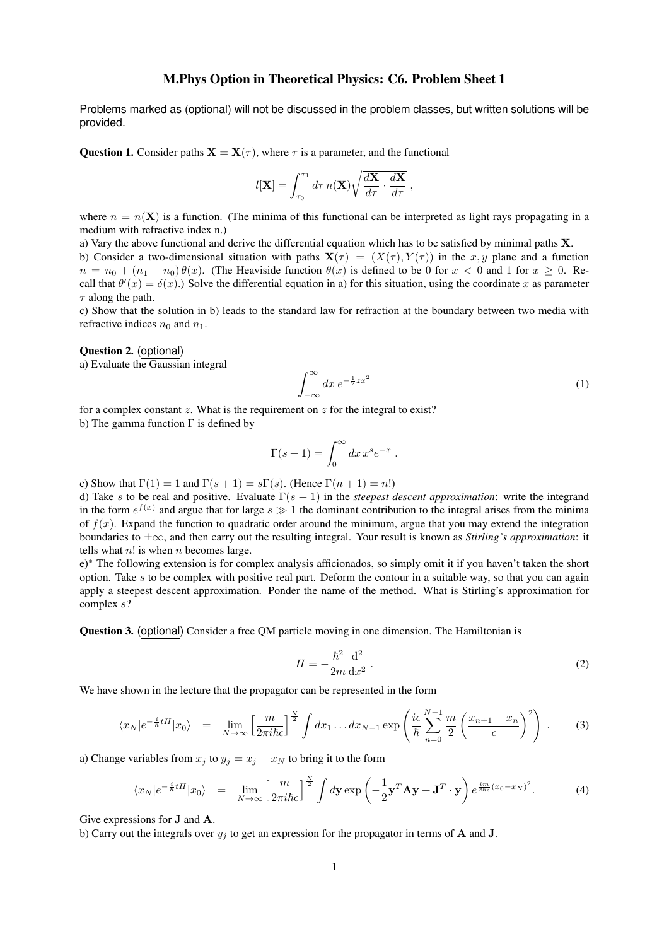## M.Phys Option in Theoretical Physics: C6. Problem Sheet 1

Problems marked as (optional) will not be discussed in the problem classes, but written solutions will be provided.

Question 1. Consider paths  $X = X(\tau)$ , where  $\tau$  is a parameter, and the functional

$$
l[\mathbf{X}] = \int_{\tau_0}^{\tau_1} d\tau \, n(\mathbf{X}) \sqrt{\frac{d\mathbf{X}}{d\tau} \cdot \frac{d\mathbf{X}}{d\tau}} \;,
$$

where  $n = n(\mathbf{X})$  is a function. (The minima of this functional can be interpreted as light rays propagating in a medium with refractive index n.)

a) Vary the above functional and derive the differential equation which has to be satisfied by minimal paths X. b) Consider a two-dimensional situation with paths  $X(\tau) = (X(\tau), Y(\tau))$  in the x, y plane and a function  $n = n_0 + (n_1 - n_0) \theta(x)$ . (The Heaviside function  $\theta(x)$  is defined to be 0 for  $x < 0$  and 1 for  $x > 0$ . Recall that  $\theta'(x) = \delta(x)$ .) Solve the differential equation in a) for this situation, using the coordinate x as parameter  $\tau$  along the path.

c) Show that the solution in b) leads to the standard law for refraction at the boundary between two media with refractive indices  $n_0$  and  $n_1$ .

## Question 2. (optional)

a) Evaluate the Gaussian integral

$$
\int_{-\infty}^{\infty} dx \, e^{-\frac{1}{2}zx^2} \tag{1}
$$

for a complex constant z. What is the requirement on z for the integral to exist?

b) The gamma function  $\Gamma$  is defined by

$$
\Gamma(s+1) = \int_0^\infty dx \, x^s e^{-x} .
$$

c) Show that  $\Gamma(1) = 1$  and  $\Gamma(s + 1) = s\Gamma(s)$ . (Hence  $\Gamma(n + 1) = n!$ )

d) Take s to be real and positive. Evaluate Γ(s + 1) in the *steepest descent approximation*: write the integrand in the form  $e^{f(x)}$  and argue that for large  $s \gg 1$  the dominant contribution to the integral arises from the minima of  $f(x)$ . Expand the function to quadratic order around the minimum, argue that you may extend the integration boundaries to ±∞, and then carry out the resulting integral. Your result is known as *Stirling's approximation*: it tells what  $n!$  is when  $n$  becomes large.

e)<sup>∗</sup> The following extension is for complex analysis afficionados, so simply omit it if you haven't taken the short option. Take s to be complex with positive real part. Deform the contour in a suitable way, so that you can again apply a steepest descent approximation. Ponder the name of the method. What is Stirling's approximation for complex s?

Question 3. (optional) Consider a free QM particle moving in one dimension. The Hamiltonian is

$$
H = -\frac{\hbar^2}{2m}\frac{\mathrm{d}^2}{\mathrm{d}x^2} \,. \tag{2}
$$

We have shown in the lecture that the propagator can be represented in the form

$$
\langle x_N | e^{-\frac{i}{\hbar}tH} | x_0 \rangle = \lim_{N \to \infty} \left[ \frac{m}{2\pi i \hbar \epsilon} \right]^{\frac{N}{2}} \int dx_1 \dots dx_{N-1} \exp\left( \frac{i\epsilon}{\hbar} \sum_{n=0}^{N-1} \frac{m}{2} \left( \frac{x_{n+1} - x_n}{\epsilon} \right)^2 \right) . \tag{3}
$$

a) Change variables from  $x_j$  to  $y_j = x_j - x_N$  to bring it to the form

$$
\langle x_N | e^{-\frac{i}{\hbar}tH} | x_0 \rangle = \lim_{N \to \infty} \left[ \frac{m}{2\pi i \hbar \epsilon} \right]^{\frac{N}{2}} \int d\mathbf{y} \exp\left( -\frac{1}{2} \mathbf{y}^T \mathbf{A} \mathbf{y} + \mathbf{J}^T \cdot \mathbf{y} \right) e^{\frac{i m}{2\hbar \epsilon} (x_0 - x_N)^2}.
$$
 (4)

Give expressions for J and A.

b) Carry out the integrals over  $y_j$  to get an expression for the propagator in terms of A and J.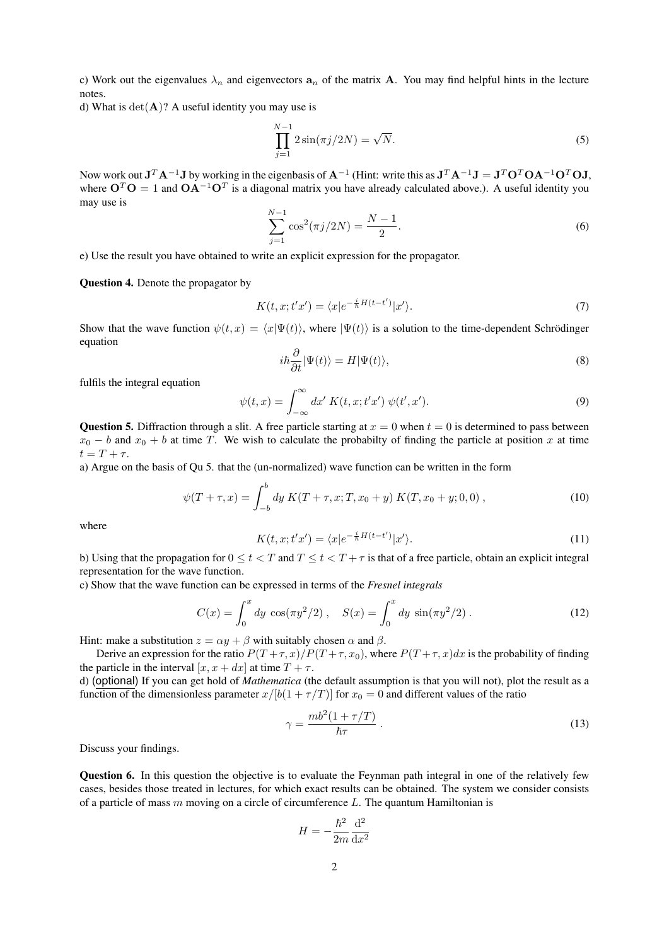c) Work out the eigenvalues  $\lambda_n$  and eigenvectors  $a_n$  of the matrix **A**. You may find helpful hints in the lecture notes.

d) What is  $det(\mathbf{A})$ ? A useful identity you may use is

$$
\prod_{j=1}^{N-1} 2\sin(\pi j/2N) = \sqrt{N}.
$$
 (5)

Now work out  $J^T A^{-1}J$  by working in the eigenbasis of  $A^{-1}$  (Hint: write this as  $J^T A^{-1}J = J^T O^T O A^{-1} O^T O J$ , where  $O^T O = 1$  and  $OA^{-1}O^T$  is a diagonal matrix you have already calculated above.). A useful identity you may use is

$$
\sum_{j=1}^{N-1} \cos^2(\pi j/2N) = \frac{N-1}{2}.\tag{6}
$$

e) Use the result you have obtained to write an explicit expression for the propagator.

Question 4. Denote the propagator by

$$
K(t, x; t'x') = \langle x|e^{-\frac{i}{\hbar}H(t-t')}|x'\rangle.
$$
 (7)

Show that the wave function  $\psi(t, x) = \langle x|\Psi(t)\rangle$ , where  $|\Psi(t)\rangle$  is a solution to the time-dependent Schrödinger equation

$$
i\hbar \frac{\partial}{\partial t} |\Psi(t)\rangle = H |\Psi(t)\rangle, \tag{8}
$$

fulfils the integral equation

$$
\psi(t,x) = \int_{-\infty}^{\infty} dx' K(t,x;t'x') \psi(t',x'). \tag{9}
$$

Question 5. Diffraction through a slit. A free particle starting at  $x = 0$  when  $t = 0$  is determined to pass between  $x_0 - b$  and  $x_0 + b$  at time T. We wish to calculate the probabilty of finding the particle at position x at time  $t = T + \tau$ .

a) Argue on the basis of Qu 5. that the (un-normalized) wave function can be written in the form

$$
\psi(T+\tau,x) = \int_{-b}^{b} dy \ K(T+\tau,x;T,x_0+y) \ K(T,x_0+y;0,0) \ , \tag{10}
$$

where

$$
K(t, x; t'x') = \langle x|e^{-\frac{i}{\hbar}H(t-t')}|x'\rangle.
$$
\n(11)

b) Using that the propagation for  $0 \le t < T$  and  $T \le t < T + \tau$  is that of a free particle, obtain an explicit integral representation for the wave function.

c) Show that the wave function can be expressed in terms of the *Fresnel integrals*

$$
C(x) = \int_0^x dy \cos(\pi y^2/2), \quad S(x) = \int_0^x dy \sin(\pi y^2/2).
$$
 (12)

Hint: make a substitution  $z = \alpha y + \beta$  with suitably chosen  $\alpha$  and  $\beta$ .

Derive an expression for the ratio  $P(T+\tau, x)/P(T+\tau, x_0)$ , where  $P(T+\tau, x)dx$  is the probability of finding the particle in the interval  $[x, x + dx]$  at time  $T + \tau$ .

d) (optional) If you can get hold of *Mathematica* (the default assumption is that you will not), plot the result as a function of the dimensionless parameter  $x/[b(1 + \tau/T)]$  for  $x_0 = 0$  and different values of the ratio

$$
\gamma = \frac{mb^2(1+\tau/T)}{\hbar\tau} \,. \tag{13}
$$

Discuss your findings.

Question 6. In this question the objective is to evaluate the Feynman path integral in one of the relatively few cases, besides those treated in lectures, for which exact results can be obtained. The system we consider consists of a particle of mass  $m$  moving on a circle of circumference  $L$ . The quantum Hamiltonian is

$$
H=-\frac{\hbar^2}{2m}\frac{\mathrm{d}^2}{\mathrm{d}x^2}
$$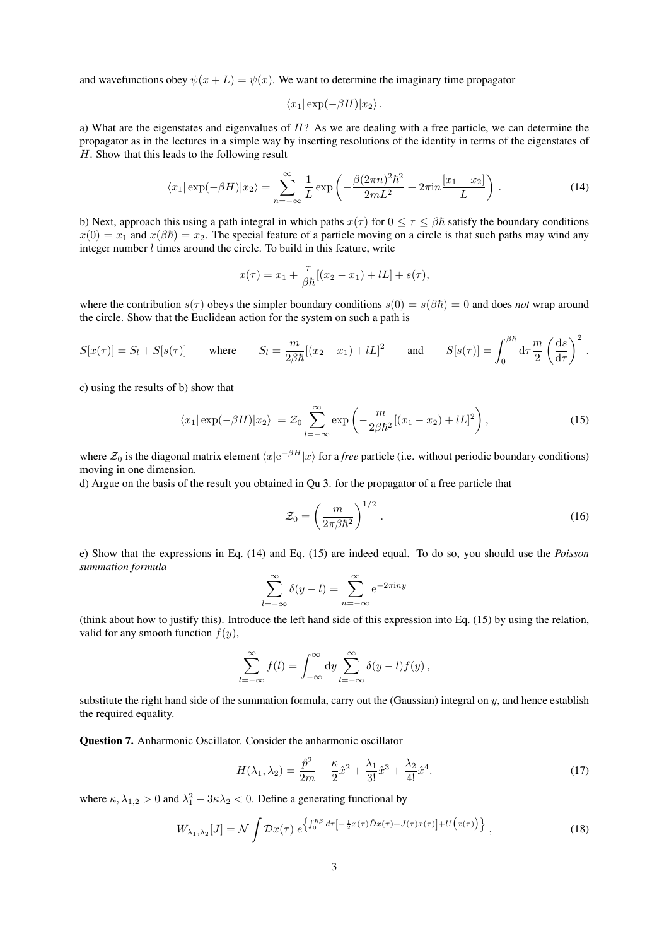and wavefunctions obey  $\psi(x+L) = \psi(x)$ . We want to determine the imaginary time propagator

$$
\langle x_1|\exp(-\beta H)|x_2\rangle.
$$

a) What are the eigenstates and eigenvalues of H? As we are dealing with a free particle, we can determine the propagator as in the lectures in a simple way by inserting resolutions of the identity in terms of the eigenstates of H. Show that this leads to the following result

$$
\langle x_1 | \exp(-\beta H) | x_2 \rangle = \sum_{n=-\infty}^{\infty} \frac{1}{L} \exp\left(-\frac{\beta (2\pi n)^2 \hbar^2}{2m^2} + 2\pi i n \frac{[x_1 - x_2]}{L}\right). \tag{14}
$$

b) Next, approach this using a path integral in which paths  $x(\tau)$  for  $0 \le \tau \le \beta \hbar$  satisfy the boundary conditions  $x(0) = x_1$  and  $x(\beta \hbar) = x_2$ . The special feature of a particle moving on a circle is that such paths may wind any integer number  $l$  times around the circle. To build in this feature, write

$$
x(\tau) = x_1 + \frac{\tau}{\beta \hbar} [(x_2 - x_1) + lL] + s(\tau),
$$

where the contribution  $s(\tau)$  obeys the simpler boundary conditions  $s(0) = s(\beta\hbar) = 0$  and does *not* wrap around the circle. Show that the Euclidean action for the system on such a path is

$$
S[x(\tau)] = S_l + S[s(\tau)] \quad \text{where} \quad S_l = \frac{m}{2\beta\hbar}[(x_2 - x_1) + lL]^2 \quad \text{and} \quad S[s(\tau)] = \int_0^{\beta\hbar} d\tau \frac{m}{2} \left(\frac{ds}{d\tau}\right)^2.
$$

c) using the results of b) show that

$$
\langle x_1 | \exp(-\beta H) | x_2 \rangle = \mathcal{Z}_0 \sum_{l=-\infty}^{\infty} \exp\left(-\frac{m}{2\beta \hbar^2} [(x_1 - x_2) + lL]^2\right),\tag{15}
$$

where  $\mathcal{Z}_0$  is the diagonal matrix element  $\langle x|e^{-\beta H}|x\rangle$  for a *free* particle (i.e. without periodic boundary conditions) moving in one dimension.

d) Argue on the basis of the result you obtained in Qu 3. for the propagator of a free particle that

$$
\mathcal{Z}_0 = \left(\frac{m}{2\pi\beta\hbar^2}\right)^{1/2}.\tag{16}
$$

e) Show that the expressions in Eq. (14) and Eq. (15) are indeed equal. To do so, you should use the *Poisson summation formula*

$$
\sum_{l=-\infty}^{\infty} \delta(y-l) = \sum_{n=-\infty}^{\infty} e^{-2\pi i n y}
$$

(think about how to justify this). Introduce the left hand side of this expression into Eq. (15) by using the relation, valid for any smooth function  $f(y)$ ,

$$
\sum_{l=-\infty}^{\infty} f(l) = \int_{-\infty}^{\infty} dy \sum_{l=-\infty}^{\infty} \delta(y-l) f(y),
$$

substitute the right hand side of the summation formula, carry out the (Gaussian) integral on  $y$ , and hence establish the required equality.

Question 7. Anharmonic Oscillator. Consider the anharmonic oscillator

$$
H(\lambda_1, \lambda_2) = \frac{\hat{p}^2}{2m} + \frac{\kappa}{2}\hat{x}^2 + \frac{\lambda_1}{3!}\hat{x}^3 + \frac{\lambda_2}{4!}\hat{x}^4.
$$
 (17)

where  $\kappa, \lambda_{1,2} > 0$  and  $\lambda_1^2 - 3\kappa\lambda_2 < 0$ . Define a generating functional by

$$
W_{\lambda_1,\lambda_2}[J] = \mathcal{N} \int \mathcal{D}x(\tau) e^{\left\{ \int_0^{\hbar\beta} d\tau \left[ -\frac{1}{2}x(\tau)\hat{D}x(\tau) + J(\tau)x(\tau) \right] + U\left(x(\tau)\right) \right\}} \,, \tag{18}
$$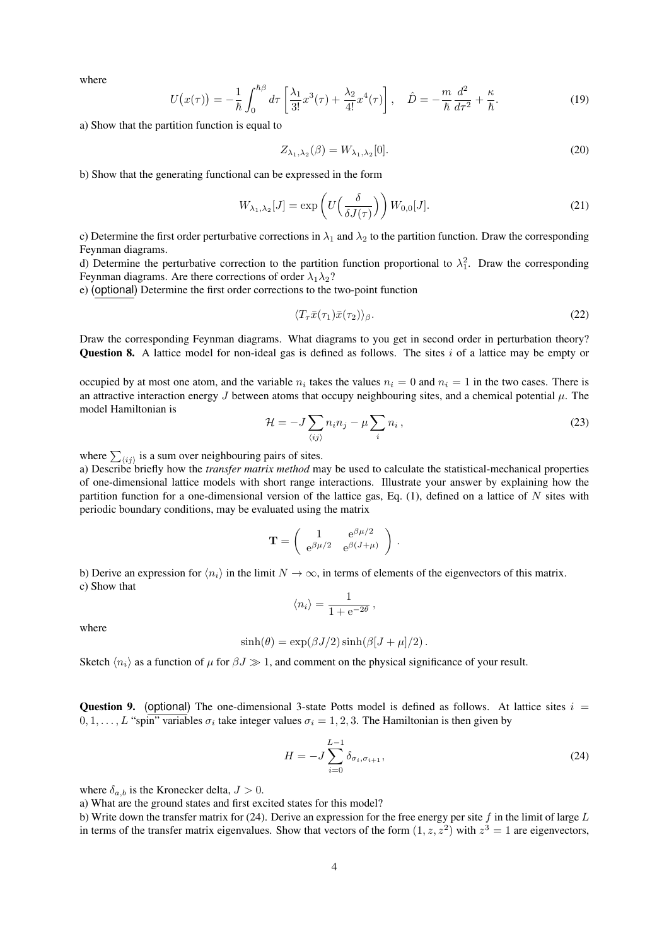where

$$
U(x(\tau)) = -\frac{1}{\hbar} \int_0^{\hbar \beta} d\tau \left[ \frac{\lambda_1}{3!} x^3(\tau) + \frac{\lambda_2}{4!} x^4(\tau) \right], \quad \hat{D} = -\frac{m}{\hbar} \frac{d^2}{d\tau^2} + \frac{\kappa}{\hbar}.
$$
 (19)

a) Show that the partition function is equal to

$$
Z_{\lambda_1,\lambda_2}(\beta) = W_{\lambda_1,\lambda_2}[0].\tag{20}
$$

b) Show that the generating functional can be expressed in the form

$$
W_{\lambda_1, \lambda_2}[J] = \exp\left(U\left(\frac{\delta}{\delta J(\tau)}\right)\right) W_{0,0}[J].
$$
\n(21)

c) Determine the first order perturbative corrections in  $\lambda_1$  and  $\lambda_2$  to the partition function. Draw the corresponding Feynman diagrams.

d) Determine the perturbative correction to the partition function proportional to  $\lambda_1^2$ . Draw the corresponding Feynman diagrams. Are there corrections of order  $\lambda_1 \lambda_2$ ?

e) (optional) Determine the first order corrections to the two-point function

$$
\langle T_{\tau}\bar{x}(\tau_1)\bar{x}(\tau_2)\rangle_{\beta}.\tag{22}
$$

Draw the corresponding Feynman diagrams. What diagrams to you get in second order in perturbation theory? **Question 8.** A lattice model for non-ideal gas is defined as follows. The sites i of a lattice may be empty or

occupied by at most one atom, and the variable  $n_i$  takes the values  $n_i = 0$  and  $n_i = 1$  in the two cases. There is an attractive interaction energy J between atoms that occupy neighbouring sites, and a chemical potential  $\mu$ . The model Hamiltonian is

$$
\mathcal{H} = -J \sum_{\langle ij \rangle} n_i n_j - \mu \sum_i n_i , \qquad (23)
$$

where  $\sum_{\langle ij \rangle}$  is a sum over neighbouring pairs of sites.

a) Describe briefly how the *transfer matrix method* may be used to calculate the statistical-mechanical properties of one-dimensional lattice models with short range interactions. Illustrate your answer by explaining how the partition function for a one-dimensional version of the lattice gas, Eq.  $(1)$ , defined on a lattice of N sites with periodic boundary conditions, may be evaluated using the matrix

$$
\mathbf{T} = \left( \begin{array}{cc} 1 & e^{\beta \mu/2} \\ e^{\beta \mu/2} & e^{\beta (J+\mu)} \end{array} \right) .
$$

b) Derive an expression for  $\langle n_i \rangle$  in the limit  $N \to \infty$ , in terms of elements of the eigenvectors of this matrix. c) Show that

$$
\langle n_i \rangle = \frac{1}{1 + e^{-2\theta}} \,,
$$

where

$$
\sinh(\theta) = \exp(\beta J/2) \sinh(\beta [J + \mu]/2).
$$

Sketch  $\langle n_i \rangle$  as a function of  $\mu$  for  $\beta J \gg 1$ , and comment on the physical significance of your result.

**Question 9.** (optional) The one-dimensional 3-state Potts model is defined as follows. At lattice sites  $i =$  $0, 1, \ldots, L$  "spin" variables  $\sigma_i$  take integer values  $\sigma_i = 1, 2, 3$ . The Hamiltonian is then given by

$$
H = -J \sum_{i=0}^{L-1} \delta_{\sigma_i, \sigma_{i+1}},
$$
\n(24)

where  $\delta_{a,b}$  is the Kronecker delta,  $J > 0$ .

a) What are the ground states and first excited states for this model?

b) Write down the transfer matrix for (24). Derive an expression for the free energy per site  $f$  in the limit of large  $L$ in terms of the transfer matrix eigenvalues. Show that vectors of the form  $(1, z, z^2)$  with  $z^3 = 1$  are eigenvectors,